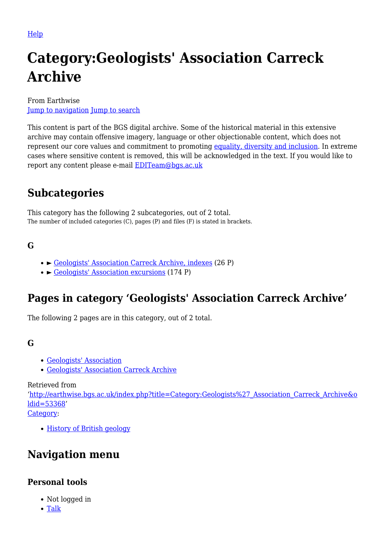[Help](http://www.mediawiki.org/wiki/Special:MyLanguage/Help:Categories)

# **Category:Geologists' Association Carreck Archive**

From Earthwise [Jump to navigation](#page--1-0) [Jump to search](#page--1-0)

This content is part of the BGS digital archive. Some of the historical material in this extensive archive may contain offensive imagery, language or other objectionable content, which does not represent our core values and commitment to promoting [equality, diversity and inclusion.](https://www.bgs.ac.uk/about-bgs/working-with-us/equality-diversity-and-inclusion-edi/) In extreme cases where sensitive content is removed, this will be acknowledged in the text. If you would like to report any content please e-mail **[EDITeam@bgs.ac.uk](mailto:EDITeam@bgs.ac.uk)** 

# **Subcategories**

This category has the following 2 subcategories, out of 2 total. The number of included categories (C), pages (P) and files (F) is stated in brackets.

# **G**

- ► [Geologists' Association Carreck Archive, indexes](http://earthwise.bgs.ac.uk/index.php/Category:Geologists%27_Association_Carreck_Archive,_indexes) (26 P)
- ► [Geologists' Association excursions](http://earthwise.bgs.ac.uk/index.php/Category:Geologists%27_Association_excursions) (174 P)

# **Pages in category 'Geologists' Association Carreck Archive'**

The following 2 pages are in this category, out of 2 total.

#### **G**

- [Geologists' Association](http://earthwise.bgs.ac.uk/index.php/Geologists%27_Association)
- [Geologists' Association Carreck Archive](http://earthwise.bgs.ac.uk/index.php/Geologists%27_Association_Carreck_Archive)

Retrieved from

'[http://earthwise.bgs.ac.uk/index.php?title=Category:Geologists%27\\_Association\\_Carreck\\_Archive&o](http://earthwise.bgs.ac.uk/index.php?title=Category:Geologists%27_Association_Carreck_Archive&oldid=53368) [ldid=53368](http://earthwise.bgs.ac.uk/index.php?title=Category:Geologists%27_Association_Carreck_Archive&oldid=53368)'

[Category](http://earthwise.bgs.ac.uk/index.php/Special:Categories):

• [History of British geology](http://earthwise.bgs.ac.uk/index.php/Category:History_of_British_geology)

# **Navigation menu**

# **Personal tools**

- Not logged in
- [Talk](http://earthwise.bgs.ac.uk/index.php/Special:MyTalk)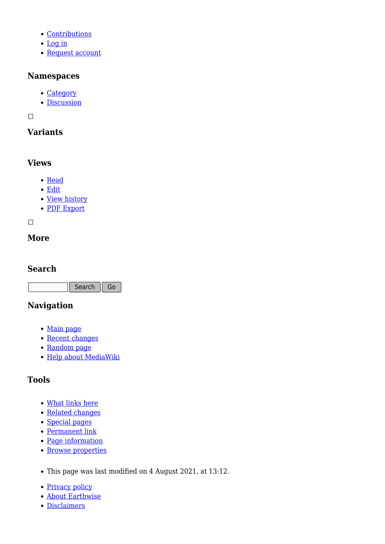- [Contributions](http://earthwise.bgs.ac.uk/index.php/Special:MyContributions)
- [Log in](http://earthwise.bgs.ac.uk/index.php?title=Special:UserLogin&returnto=Category%3AGeologists%27+Association+Carreck+Archive&returntoquery=action%3Dmpdf)
- [Request account](http://earthwise.bgs.ac.uk/index.php/Special:RequestAccount)

#### **Namespaces**

- [Category](http://earthwise.bgs.ac.uk/index.php/Category:Geologists%27_Association_Carreck_Archive)
- [Discussion](http://earthwise.bgs.ac.uk/index.php?title=Category_talk:Geologists%27_Association_Carreck_Archive&action=edit&redlink=1)

 $\Box$ 

# **Variants**

#### **Views**

- [Read](http://earthwise.bgs.ac.uk/index.php/Category:Geologists%27_Association_Carreck_Archive)
- [Edit](http://earthwise.bgs.ac.uk/index.php?title=Category:Geologists%27_Association_Carreck_Archive&action=edit)
- [View history](http://earthwise.bgs.ac.uk/index.php?title=Category:Geologists%27_Association_Carreck_Archive&action=history)
- [PDF Export](http://earthwise.bgs.ac.uk/index.php?title=Category:Geologists%27_Association_Carreck_Archive&action=mpdf)

 $\Box$ 

### **More**

#### **Search**

Search Go

# **Navigation**

- [Main page](http://earthwise.bgs.ac.uk/index.php/Main_Page)
- [Recent changes](http://earthwise.bgs.ac.uk/index.php/Special:RecentChanges)
- [Random page](http://earthwise.bgs.ac.uk/index.php/Special:Random)
- [Help about MediaWiki](https://www.mediawiki.org/wiki/Special:MyLanguage/Help:Contents)

# **Tools**

- [What links here](http://earthwise.bgs.ac.uk/index.php/Special:WhatLinksHere/Category:Geologists%27_Association_Carreck_Archive)
- [Related changes](http://earthwise.bgs.ac.uk/index.php/Special:RecentChangesLinked/Category:Geologists%27_Association_Carreck_Archive)
- [Special pages](http://earthwise.bgs.ac.uk/index.php/Special:SpecialPages)
- [Permanent link](http://earthwise.bgs.ac.uk/index.php?title=Category:Geologists%27_Association_Carreck_Archive&oldid=53368)
- [Page information](http://earthwise.bgs.ac.uk/index.php?title=Category:Geologists%27_Association_Carreck_Archive&action=info)
- [Browse properties](http://earthwise.bgs.ac.uk/index.php/Special:Browse/:Category:Geologists%27-5FAssociation-5FCarreck-5FArchive)
- This page was last modified on 4 August 2021, at 13:12.
- [Privacy policy](http://earthwise.bgs.ac.uk/index.php/Earthwise:Privacy_policy)
- [About Earthwise](http://earthwise.bgs.ac.uk/index.php/Earthwise:About)
- [Disclaimers](http://earthwise.bgs.ac.uk/index.php/Earthwise:General_disclaimer)